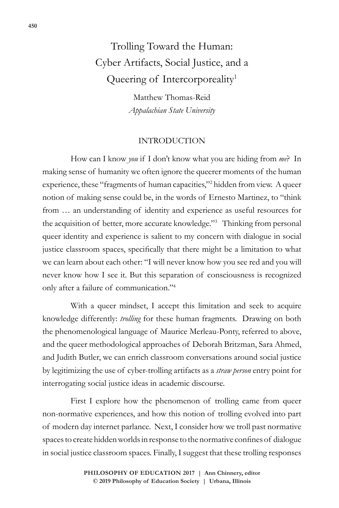# Trolling Toward the Human: Cyber Artifacts, Social Justice, and a Queering of Intercorporeality<sup>1</sup>

Matthew Thomas-Reid *Appalachian State University*

### INTRODUCTION

How can I know *you* if I don't know what you are hiding from *me*? In making sense of humanity we often ignore the queerer moments of the human experience, these "fragments of human capacities,"2 hidden from view. A queer notion of making sense could be, in the words of Ernesto Martinez, to "think from … an understanding of identity and experience as useful resources for the acquisition of better, more accurate knowledge."3 Thinking from personal queer identity and experience is salient to my concern with dialogue in social justice classroom spaces, specifically that there might be a limitation to what we can learn about each other: "I will never know how you see red and you will never know how I see it. But this separation of consciousness is recognized only after a failure of communication."4

With a queer mindset, I accept this limitation and seek to acquire knowledge differently: *trolling* for these human fragments. Drawing on both the phenomenological language of Maurice Merleau-Ponty, referred to above, and the queer methodological approaches of Deborah Britzman, Sara Ahmed, and Judith Butler, we can enrich classroom conversations around social justice by legitimizing the use of cyber-trolling artifacts as a *straw person* entry point for interrogating social justice ideas in academic discourse.

First I explore how the phenomenon of trolling came from queer non-normative experiences, and how this notion of trolling evolved into part of modern day internet parlance. Next, I consider how we troll past normative spaces to create hidden worlds in response to the normative confines of dialogue in social justice classroom spaces. Finally, I suggest that these trolling responses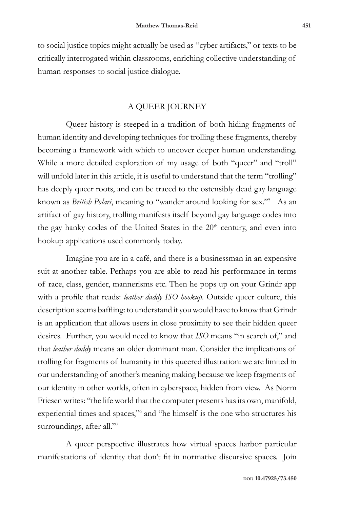to social justice topics might actually be used as "cyber artifacts," or texts to be critically interrogated within classrooms, enriching collective understanding of human responses to social justice dialogue.

#### A QUEER JOURNEY

Queer history is steeped in a tradition of both hiding fragments of human identity and developing techniques for trolling these fragments, thereby becoming a framework with which to uncover deeper human understanding. While a more detailed exploration of my usage of both "queer" and "troll" will unfold later in this article, it is useful to understand that the term "trolling" has deeply queer roots, and can be traced to the ostensibly dead gay language known as *British Polari*, meaning to "wander around looking for sex."5 As an artifact of gay history, trolling manifests itself beyond gay language codes into the gay hanky codes of the United States in the 20<sup>th</sup> century, and even into hookup applications used commonly today.

Imagine you are in a café, and there is a businessman in an expensive suit at another table. Perhaps you are able to read his performance in terms of race, class, gender, mannerisms etc. Then he pops up on your Grindr app with a profile that reads: *leather daddy ISO hookup*. Outside queer culture, this description seems baffling: to understand it you would have to know that Grindr is an application that allows users in close proximity to see their hidden queer desires. Further, you would need to know that *ISO* means "in search of," and that *leather daddy* means an older dominant man. Consider the implications of trolling for fragments of humanity in this queered illustration: we are limited in our understanding of another's meaning making because we keep fragments of our identity in other worlds, often in cyberspace, hidden from view. As Norm Friesen writes: "the life world that the computer presents has its own, manifold, experiential times and spaces,"<sup>6</sup> and "he himself is the one who structures his surroundings, after all."7

A queer perspective illustrates how virtual spaces harbor particular manifestations of identity that don't fit in normative discursive spaces. Join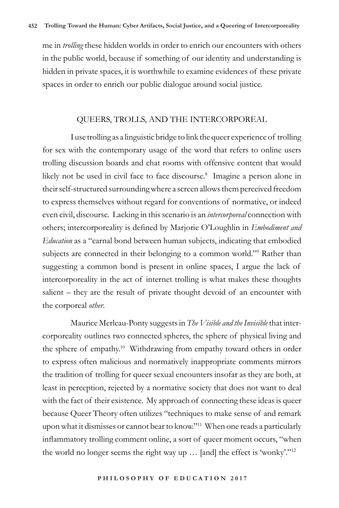me in *trolling* these hidden worlds in order to enrich our encounters with others in the public world, because if something of our identity and understanding is hidden in private spaces, it is worthwhile to examine evidences of these private spaces in order to enrich our public dialogue around social justice.

#### QUEERS, TROLLS, AND THE INTERCORPOREAL

I use trolling as a linguistic bridge to link the queer experience of trolling for sex with the contemporary usage of the word that refers to online users trolling discussion boards and chat rooms with offensive content that would likely not be used in civil face to face discourse.<sup>8</sup> Imagine a person alone in their self-structured surrounding where a screen allows them perceived freedom to express themselves without regard for conventions of normative, or indeed even civil, discourse. Lacking in this scenario is an *intercorporeal* connection with others; intercorporeality is defined by Marjorie O'Loughlin in *Embodiment and Education* as a "carnal bond between human subjects, indicating that embodied subjects are connected in their belonging to a common world."<sup>9</sup> Rather than suggesting a common bond is present in online spaces, I argue the lack of intercorporeality in the act of internet trolling is what makes these thoughts salient – they are the result of private thought devoid of an encounter with the corporeal *other*.

Maurice Merleau-Ponty suggests in *The Visible and the Invisible* that intercorporeality outlines two connected spheres, the sphere of physical living and the sphere of empathy.<sup>10</sup> Withdrawing from empathy toward others in order to express often malicious and normatively inappropriate comments mirrors the tradition of trolling for queer sexual encounters insofar as they are both, at least in perception, rejected by a normative society that does not want to deal with the fact of their existence. My approach of connecting these ideas is queer because Queer Theory often utilizes "techniques to make sense of and remark upon what it dismisses or cannot bear to know."11 When one reads a particularly inflammatory trolling comment online, a sort of queer moment occurs, "when the world no longer seems the right way up … [and] the effect is 'wonky'."12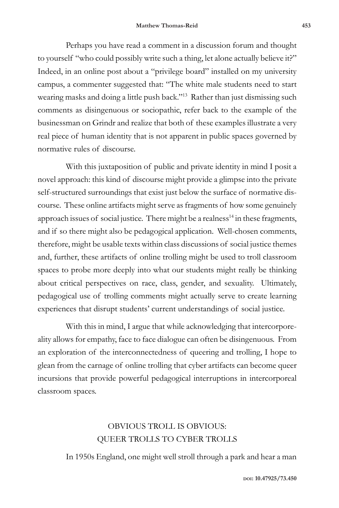Perhaps you have read a comment in a discussion forum and thought to yourself "who could possibly write such a thing, let alone actually believe it?" Indeed, in an online post about a "privilege board" installed on my university campus, a commenter suggested that: "The white male students need to start wearing masks and doing a little push back."<sup>13</sup> Rather than just dismissing such comments as disingenuous or sociopathic, refer back to the example of the businessman on Grindr and realize that both of these examples illustrate a very real piece of human identity that is not apparent in public spaces governed by normative rules of discourse.

With this juxtaposition of public and private identity in mind I posit a novel approach: this kind of discourse might provide a glimpse into the private self-structured surroundings that exist just below the surface of normative discourse. These online artifacts might serve as fragments of how some genuinely approach issues of social justice. There might be a realness $14$  in these fragments, and if so there might also be pedagogical application. Well-chosen comments, therefore, might be usable texts within class discussions of social justice themes and, further, these artifacts of online trolling might be used to troll classroom spaces to probe more deeply into what our students might really be thinking about critical perspectives on race, class, gender, and sexuality. Ultimately, pedagogical use of trolling comments might actually serve to create learning experiences that disrupt students' current understandings of social justice.

With this in mind, I argue that while acknowledging that intercorporeality allows for empathy, face to face dialogue can often be disingenuous. From an exploration of the interconnectedness of queering and trolling, I hope to glean from the carnage of online trolling that cyber artifacts can become queer incursions that provide powerful pedagogical interruptions in intercorporeal classroom spaces.

## OBVIOUS TROLL IS OBVIOUS: QUEER TROLLS TO CYBER TROLLS

In 1950s England, one might well stroll through a park and hear a man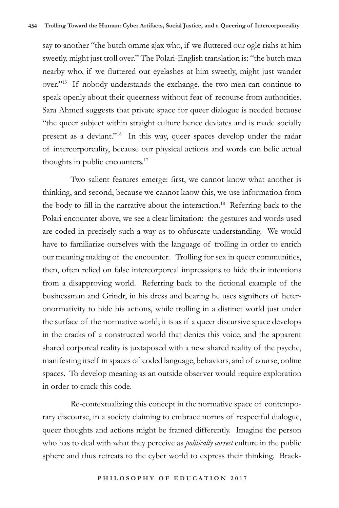say to another "the butch omme ajax who, if we fluttered our ogle riahs at him sweetly, might just troll over." The Polari-English translation is: "the butch man nearby who, if we fluttered our eyelashes at him sweetly, might just wander over."15 If nobody understands the exchange, the two men can continue to speak openly about their queerness without fear of recourse from authorities. Sara Ahmed suggests that private space for queer dialogue is needed because "the queer subject within straight culture hence deviates and is made socially present as a deviant."16 In this way, queer spaces develop under the radar of intercorporeality, because our physical actions and words can belie actual thoughts in public encounters.17

Two salient features emerge: first, we cannot know what another is thinking, and second, because we cannot know this, we use information from the body to fill in the narrative about the interaction.<sup>18</sup> Referring back to the Polari encounter above, we see a clear limitation: the gestures and words used are coded in precisely such a way as to obfuscate understanding. We would have to familiarize ourselves with the language of trolling in order to enrich our meaning making of the encounter. Trolling for sex in queer communities, then, often relied on false intercorporeal impressions to hide their intentions from a disapproving world. Referring back to the fictional example of the businessman and Grindr, in his dress and bearing he uses signifiers of heteronormativity to hide his actions, while trolling in a distinct world just under the surface of the normative world; it is as if a queer discursive space develops in the cracks of a constructed world that denies this voice, and the apparent shared corporeal reality is juxtaposed with a new shared reality of the psyche, manifesting itself in spaces of coded language, behaviors, and of course, online spaces. To develop meaning as an outside observer would require exploration in order to crack this code.

Re-contextualizing this concept in the normative space of contemporary discourse, in a society claiming to embrace norms of respectful dialogue, queer thoughts and actions might be framed differently. Imagine the person who has to deal with what they perceive as *politically correct* culture in the public sphere and thus retreats to the cyber world to express their thinking. Brack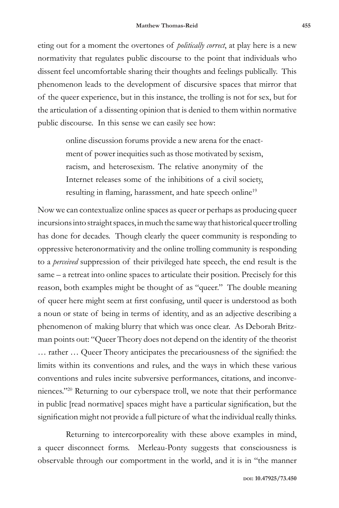eting out for a moment the overtones of *politically correct*, at play here is a new normativity that regulates public discourse to the point that individuals who dissent feel uncomfortable sharing their thoughts and feelings publically. This phenomenon leads to the development of discursive spaces that mirror that of the queer experience, but in this instance, the trolling is not for sex, but for the articulation of a dissenting opinion that is denied to them within normative public discourse. In this sense we can easily see how:

> online discussion forums provide a new arena for the enactment of power inequities such as those motivated by sexism, racism, and heterosexism. The relative anonymity of the Internet releases some of the inhibitions of a civil society, resulting in flaming, harassment, and hate speech online<sup>19</sup>

Now we can contextualize online spaces as queer or perhaps as producing queer incursions into straight spaces, in much the same way that historical queer trolling has done for decades. Though clearly the queer community is responding to oppressive heteronormativity and the online trolling community is responding to a *perceived* suppression of their privileged hate speech, the end result is the same – a retreat into online spaces to articulate their position. Precisely for this reason, both examples might be thought of as "queer." The double meaning of queer here might seem at first confusing, until queer is understood as both a noun or state of being in terms of identity, and as an adjective describing a phenomenon of making blurry that which was once clear. As Deborah Britzman points out: "Queer Theory does not depend on the identity of the theorist … rather … Queer Theory anticipates the precariousness of the signified: the limits within its conventions and rules, and the ways in which these various conventions and rules incite subversive performances, citations, and inconveniences."20 Returning to our cyberspace troll, we note that their performance in public [read normative] spaces might have a particular signification, but the signification might not provide a full picture of what the individual really thinks.

Returning to intercorporeality with these above examples in mind, a queer disconnect forms. Merleau-Ponty suggests that consciousness is observable through our comportment in the world, and it is in "the manner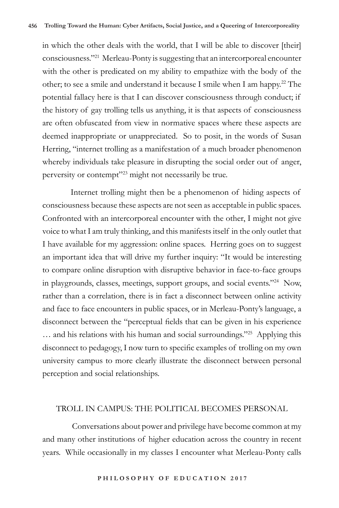in which the other deals with the world, that I will be able to discover [their] consciousness."21 Merleau-Ponty is suggesting that an intercorporeal encounter with the other is predicated on my ability to empathize with the body of the other; to see a smile and understand it because I smile when I am happy.<sup>22</sup> The potential fallacy here is that I can discover consciousness through conduct; if the history of gay trolling tells us anything, it is that aspects of consciousness are often obfuscated from view in normative spaces where these aspects are deemed inappropriate or unappreciated. So to posit, in the words of Susan Herring, "internet trolling as a manifestation of a much broader phenomenon whereby individuals take pleasure in disrupting the social order out of anger, perversity or contempt"<sup>23</sup> might not necessarily be true.

Internet trolling might then be a phenomenon of hiding aspects of consciousness because these aspects are not seen as acceptable in public spaces. Confronted with an intercorporeal encounter with the other, I might not give voice to what I am truly thinking, and this manifests itself in the only outlet that I have available for my aggression: online spaces. Herring goes on to suggest an important idea that will drive my further inquiry: "It would be interesting to compare online disruption with disruptive behavior in face-to-face groups in playgrounds, classes, meetings, support groups, and social events."24 Now, rather than a correlation, there is in fact a disconnect between online activity and face to face encounters in public spaces, or in Merleau-Ponty's language, a disconnect between the "perceptual fields that can be given in his experience ... and his relations with his human and social surroundings."<sup>25</sup> Applying this disconnect to pedagogy, I now turn to specific examples of trolling on my own university campus to more clearly illustrate the disconnect between personal perception and social relationships.

#### TROLL IN CAMPUS: THE POLITICAL BECOMES PERSONAL

 Conversations about power and privilege have become common at my and many other institutions of higher education across the country in recent years. While occasionally in my classes I encounter what Merleau-Ponty calls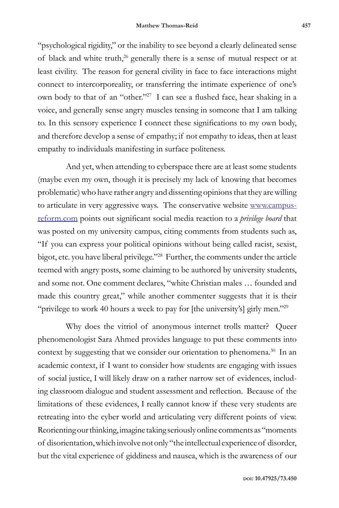"psychological rigidity," or the inability to see beyond a clearly delineated sense of black and white truth,<sup>26</sup> generally there is a sense of mutual respect or at least civility. The reason for general civility in face to face interactions might connect to intercorporeality, or transferring the intimate experience of one's own body to that of an "other."27 I can see a flushed face, hear shaking in a voice, and generally sense angry muscles tensing in someone that I am talking to. In this sensory experience I connect these significations to my own body, and therefore develop a sense of empathy; if not empathy to ideas, then at least empathy to individuals manifesting in surface politeness.

And yet, when attending to cyberspace there are at least some students (maybe even my own, though it is precisely my lack of knowing that becomes problematic) who have rather angry and dissenting opinions that they are willing to articulate in very aggressive ways. The conservative website www.campusreform.com points out significant social media reaction to a *privilege board* that was posted on my university campus, citing comments from students such as, "If you can express your political opinions without being called racist, sexist, bigot, etc. you have liberal privilege."28 Further, the comments under the article teemed with angry posts, some claiming to be authored by university students, and some not. One comment declares, "white Christian males … founded and made this country great," while another commenter suggests that it is their "privilege to work 40 hours a week to pay for [the university's] girly men."<sup>29</sup>

Why does the vitriol of anonymous internet trolls matter? Queer phenomenologist Sara Ahmed provides language to put these comments into context by suggesting that we consider our orientation to phenomena.<sup>30</sup> In an academic context, if I want to consider how students are engaging with issues of social justice, I will likely draw on a rather narrow set of evidences, including classroom dialogue and student assessment and reflection. Because of the limitations of these evidences, I really cannot know if these very students are retreating into the cyber world and articulating very different points of view. Reorienting our thinking, imagine taking seriously online comments as "moments of disorientation, which involve not only "the intellectual experience of disorder, but the vital experience of giddiness and nausea, which is the awareness of our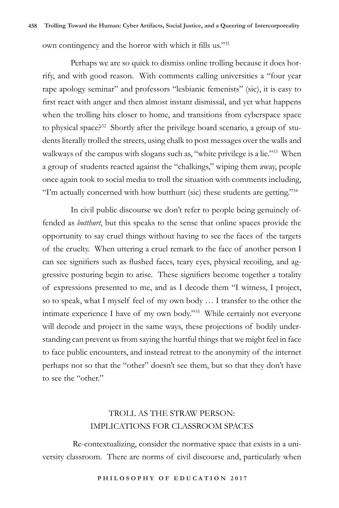own contingency and the horror with which it fills us."31

Perhaps we are so quick to dismiss online trolling because it does horrify, and with good reason. With comments calling universities a "four year rape apology seminar" and professors "lesbianic femenists" (sic), it is easy to first react with anger and then almost instant dismissal, and yet what happens when the trolling hits closer to home, and transitions from cyberspace space to physical space?<sup>32</sup> Shortly after the privilege board scenario, a group of students literally trolled the streets, using chalk to post messages over the walls and walkways of the campus with slogans such as, "white privilege is a lie."<sup>33</sup> When a group of students reacted against the "chalkings," wiping them away, people once again took to social media to troll the situation with comments including, "I'm actually concerned with how butthurt (sic) these students are getting."34

In civil public discourse we don't refer to people being genuinely offended as *butthurt*, but this speaks to the sense that online spaces provide the opportunity to say cruel things without having to see the faces of the targets of the cruelty. When uttering a cruel remark to the face of another person I can see signifiers such as flushed faces, teary eyes, physical recoiling, and aggressive posturing begin to arise. These signifiers become together a totality of expressions presented to me, and as I decode them "I witness, I project, so to speak, what I myself feel of my own body … I transfer to the other the intimate experience I have of my own body."35 While certainly not everyone will decode and project in the same ways, these projections of bodily understanding can prevent us from saying the hurtful things that we might feel in face to face public encounters, and instead retreat to the anonymity of the internet perhaps not so that the "other" doesn't see them, but so that they don't have to see the "other."

## TROLL AS THE STRAW PERSON: IMPLICATIONS FOR CLASSROOM SPACES

 Re-contextualizing, consider the normative space that exists in a university classroom. There are norms of civil discourse and, particularly when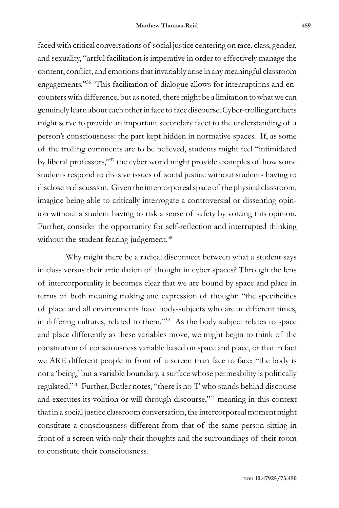faced with critical conversations of social justice centering on race, class, gender, and sexuality, "artful facilitation is imperative in order to effectively manage the content, conflict, and emotions that invariably arise in any meaningful classroom engagements."<sup>36</sup> This facilitation of dialogue allows for interruptions and encounters with difference, but as noted, there might be a limitation to what we can genuinely learn about each other in face to face discourse. Cyber-trolling artifacts might serve to provide an important secondary facet to the understanding of a person's consciousness: the part kept hidden in normative spaces. If, as some of the trolling comments are to be believed, students might feel "intimidated by liberal professors,"37 the cyber world might provide examples of how some students respond to divisive issues of social justice without students having to disclose in discussion. Given the intercorporeal space of the physical classroom, imagine being able to critically interrogate a controversial or dissenting opinion without a student having to risk a sense of safety by voicing this opinion. Further, consider the opportunity for self-reflection and interrupted thinking without the student fearing judgement.<sup>38</sup>

Why might there be a radical disconnect between what a student says in class versus their articulation of thought in cyber spaces? Through the lens of intercorporeality it becomes clear that we are bound by space and place in terms of both meaning making and expression of thought: "the specificities of place and all environments have body-subjects who are at different times, in differing cultures, related to them."39 As the body subject relates to space and place differently as these variables move, we might begin to think of the constitution of consciousness variable based on space and place, or that in fact we ARE different people in front of a screen than face to face: "the body is not a 'being,' but a variable boundary, a surface whose permeability is politically regulated."40 Further, Butler notes, "there is no 'I' who stands behind discourse and executes its volition or will through discourse,"41 meaning in this context that in a social justice classroom conversation, the intercorporeal moment might constitute a consciousness different from that of the same person sitting in front of a screen with only their thoughts and the surroundings of their room to constitute their consciousness.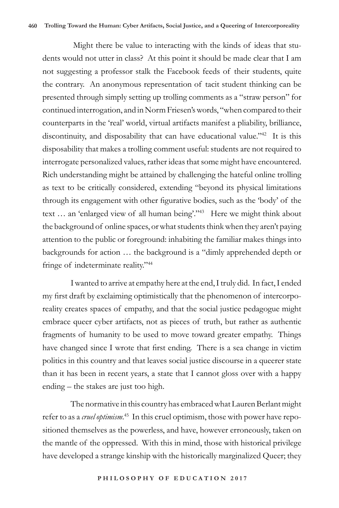Might there be value to interacting with the kinds of ideas that students would not utter in class? At this point it should be made clear that I am not suggesting a professor stalk the Facebook feeds of their students, quite the contrary. An anonymous representation of tacit student thinking can be presented through simply setting up trolling comments as a "straw person" for continued interrogation, and in Norm Friesen's words, "when compared to their counterparts in the 'real' world, virtual artifacts manifest a pliability, brilliance, discontinuity, and disposability that can have educational value."<sup>42</sup> It is this disposability that makes a trolling comment useful: students are not required to interrogate personalized values, rather ideas that some might have encountered. Rich understanding might be attained by challenging the hateful online trolling as text to be critically considered, extending "beyond its physical limitations through its engagement with other figurative bodies, such as the 'body' of the text ... an 'enlarged view of all human being'."<sup>43</sup> Here we might think about the background of online spaces, or what students think when they aren't paying attention to the public or foreground: inhabiting the familiar makes things into backgrounds for action … the background is a "dimly apprehended depth or fringe of indeterminate reality."44

I wanted to arrive at empathy here at the end, I truly did. In fact, I ended my first draft by exclaiming optimistically that the phenomenon of intercorporeality creates spaces of empathy, and that the social justice pedagogue might embrace queer cyber artifacts, not as pieces of truth, but rather as authentic fragments of humanity to be used to move toward greater empathy. Things have changed since I wrote that first ending. There is a sea change in victim politics in this country and that leaves social justice discourse in a queerer state than it has been in recent years, a state that I cannot gloss over with a happy ending – the stakes are just too high.

The normative in this country has embraced what Lauren Berlant might refer to as a *cruel optimism*. 45 In this cruel optimism, those with power have repositioned themselves as the powerless, and have, however erroneously, taken on the mantle of the oppressed. With this in mind, those with historical privilege have developed a strange kinship with the historically marginalized Queer; they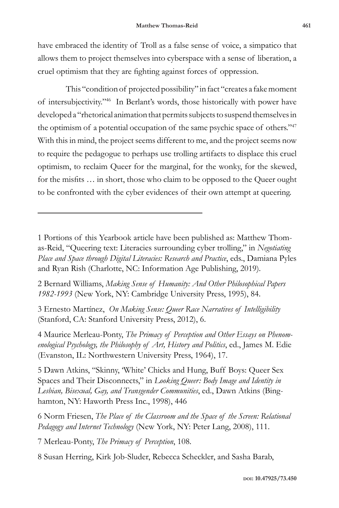have embraced the identity of Troll as a false sense of voice, a simpatico that allows them to project themselves into cyberspace with a sense of liberation, a cruel optimism that they are fighting against forces of oppression.

This "condition of projected possibility" in fact "creates a fake moment of intersubjectivity."46 In Berlant's words, those historically with power have developed a "rhetorical animation that permits subjects to suspend themselves in the optimism of a potential occupation of the same psychic space of others."<sup>47</sup> With this in mind, the project seems different to me, and the project seems now to require the pedagogue to perhaps use trolling artifacts to displace this cruel optimism, to reclaim Queer for the marginal, for the wonky, for the skewed, for the misfits … in short, those who claim to be opposed to the Queer ought to be confronted with the cyber evidences of their own attempt at queering.

1 Portions of this Yearbook article have been published as: Matthew Thomas-Reid, "Queering text: Literacies surrounding cyber trolling," in *Negotiating Place and Space through Digital Literacies: Research and Practice*, eds., Damiana Pyles and Ryan Rish (Charlotte, NC: Information Age Publishing, 2019)*.*

2 Bernard Williams, *Making Sense of Humanity: And Other Philosophical Papers 1982-1993* (New York, NY: Cambridge University Press, 1995), 84.

3 Ernesto Martínez, *On Making Sense: Queer Race Narratives of Intelligibility* (Stanford, CA: Stanford University Press, 2012), 6.

4 Maurice Merleau-Ponty, *The Primacy of Perception and Other Essays on Phenomenological Psychology, the Philosophy of Art, History and Politics*, ed., James M. Edie (Evanston, IL: Northwestern University Press, 1964), 17.

5 Dawn Atkins, "Skinny, 'White' Chicks and Hung, Buff Boys: Queer Sex Spaces and Their Disconnects," in *Looking Queer: Body Image and Identity in Lesbian, Bisexual, Gay, and Transgender Communities*, ed., Dawn Atkins (Binghamton, NY: Haworth Press Inc., 1998), 446

6 Norm Friesen, *The Place of the Classroom and the Space of the Screen: Relational Pedagogy and Internet Technology* (New York, NY: Peter Lang, 2008), 111.

7 Merleau-Ponty, *The Primacy of Perception*, 108.

8 Susan Herring, Kirk Job-Sluder, Rebecca Scheckler, and Sasha Barab,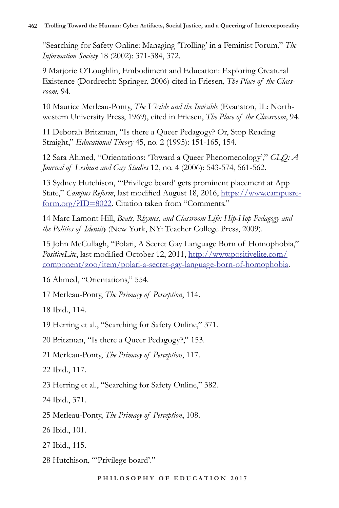"Searching for Safety Online: Managing 'Trolling' in a Feminist Forum," *The Information Society* 18 (2002): 371-384, 372.

9 Marjorie O'Loughlin, Embodiment and Education: Exploring Creatural Existence (Dordrecht: Springer, 2006) cited in Friesen, *The Place of the Classroom*, 94.

10 Maurice Merleau-Ponty, *The Visible and the Invisible* (Evanston, IL: Northwestern University Press, 1969), cited in Friesen, *The Place of the Classroom*, 94.

11 Deborah Britzman, "Is there a Queer Pedagogy? Or, Stop Reading Straight," *Educational Theory* 45, no. 2 (1995): 151-165, 154.

12 Sara Ahmed, "Orientations: 'Toward a Queer Phenomenology'," *GLQ: A Journal of Lesbian and Gay Studies* 12, no. 4 (2006): 543-574, 561-562.

13 Sydney Hutchison, "'Privilege board' gets prominent placement at App State," *Campus Reform*, last modified August 18, 2016, https://www.campusreform.org/?ID=8022. Citation taken from "Comments."

14 Marc Lamont Hill, *Beats, Rhymes, and Classroom Life: Hip-Hop Pedagogy and the Politics of Identity* (New York, NY: Teacher College Press, 2009).

15 John McCullagh, "Polari, A Secret Gay Language Born of Homophobia," *PositiveLite*, last modified October 12, 2011, http://www.positivelite.com/ component/zoo/item/polari-a-secret-gay-language-born-of-homophobia.

16 Ahmed, "Orientations," 554.

17 Merleau-Ponty, *The Primacy of Perception*, 114.

18 Ibid., 114.

19 Herring et al., "Searching for Safety Online," 371.

20 Britzman, "Is there a Queer Pedagogy?," 153.

21 Merleau-Ponty, *The Primacy of Perception*, 117.

22 Ibid., 117.

23 Herring et al., "Searching for Safety Online," 382.

24 Ibid., 371.

25 Merleau-Ponty, *The Primacy of Perception*, 108.

26 Ibid., 101.

27 Ibid., 115.

28 Hutchison, "'Privilege board'."